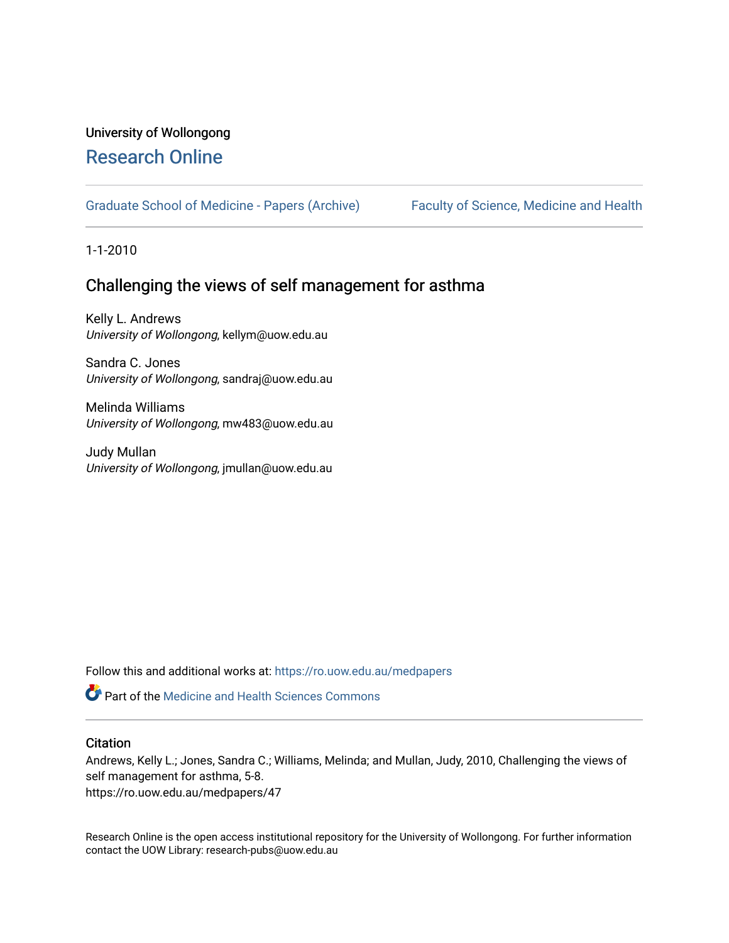# University of Wollongong [Research Online](https://ro.uow.edu.au/)

[Graduate School of Medicine - Papers \(Archive\)](https://ro.uow.edu.au/medpapers) [Faculty of Science, Medicine and Health](https://ro.uow.edu.au/smh) 

1-1-2010

# Challenging the views of self management for asthma

Kelly L. Andrews University of Wollongong, kellym@uow.edu.au

Sandra C. Jones University of Wollongong, sandraj@uow.edu.au

Melinda Williams University of Wollongong, mw483@uow.edu.au

Judy Mullan University of Wollongong, jmullan@uow.edu.au

Follow this and additional works at: [https://ro.uow.edu.au/medpapers](https://ro.uow.edu.au/medpapers?utm_source=ro.uow.edu.au%2Fmedpapers%2F47&utm_medium=PDF&utm_campaign=PDFCoverPages) 

**C** Part of the Medicine and Health Sciences Commons

#### **Citation**

Andrews, Kelly L.; Jones, Sandra C.; Williams, Melinda; and Mullan, Judy, 2010, Challenging the views of self management for asthma, 5-8.

https://ro.uow.edu.au/medpapers/47

Research Online is the open access institutional repository for the University of Wollongong. For further information contact the UOW Library: research-pubs@uow.edu.au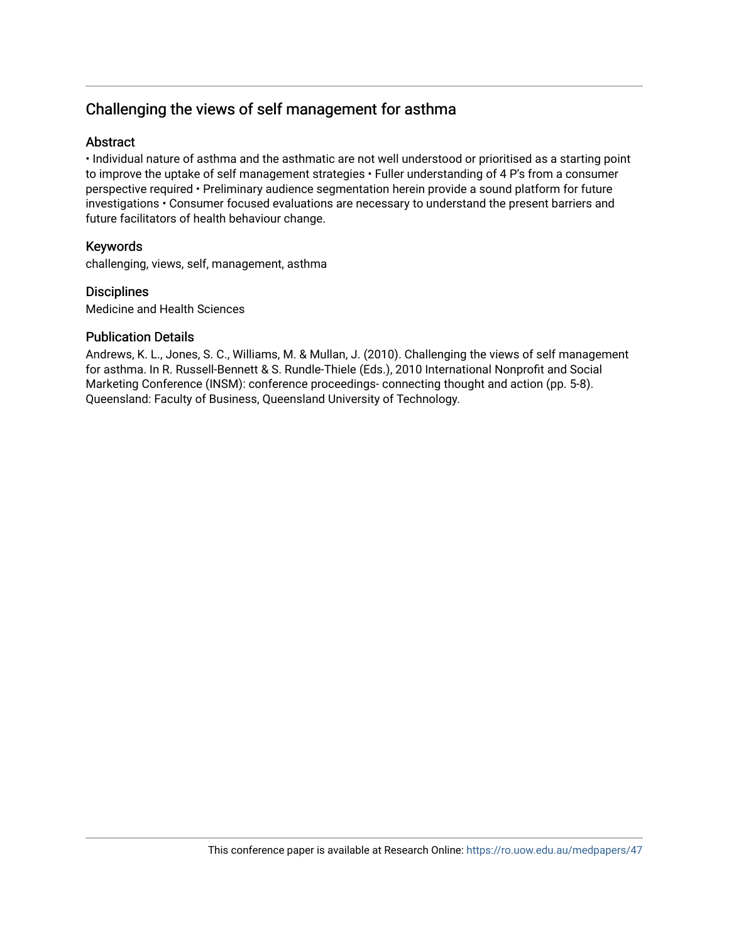# Challenging the views of self management for asthma

### **Abstract**

• Individual nature of asthma and the asthmatic are not well understood or prioritised as a starting point to improve the uptake of self management strategies • Fuller understanding of 4 P's from a consumer perspective required • Preliminary audience segmentation herein provide a sound platform for future investigations • Consumer focused evaluations are necessary to understand the present barriers and future facilitators of health behaviour change.

### Keywords

challenging, views, self, management, asthma

### **Disciplines**

Medicine and Health Sciences

#### Publication Details

Andrews, K. L., Jones, S. C., Williams, M. & Mullan, J. (2010). Challenging the views of self management for asthma. In R. Russell-Bennett & S. Rundle-Thiele (Eds.), 2010 International Nonprofit and Social Marketing Conference (INSM): conference proceedings- connecting thought and action (pp. 5-8). Queensland: Faculty of Business, Queensland University of Technology.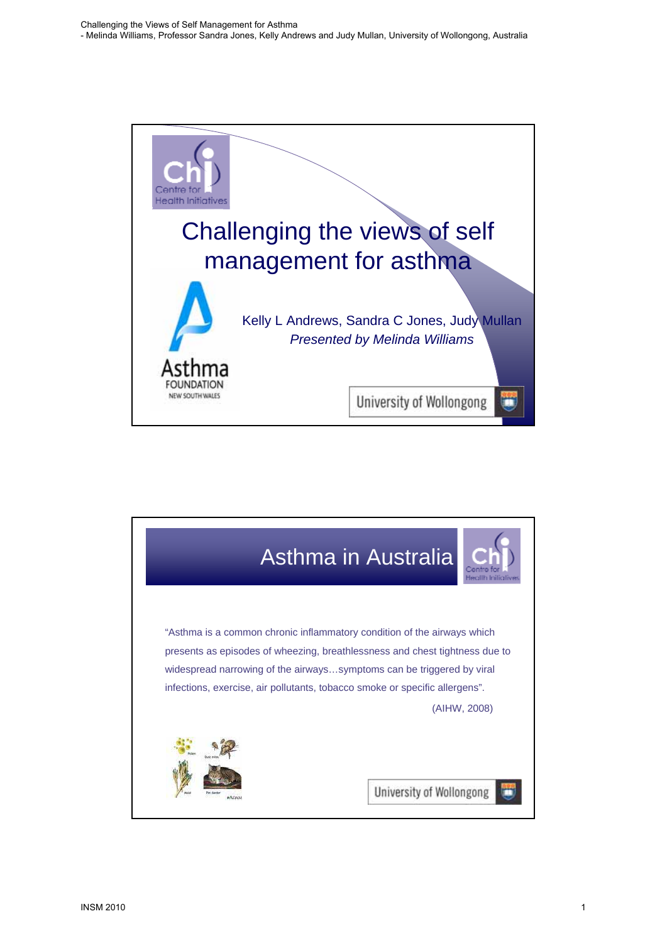

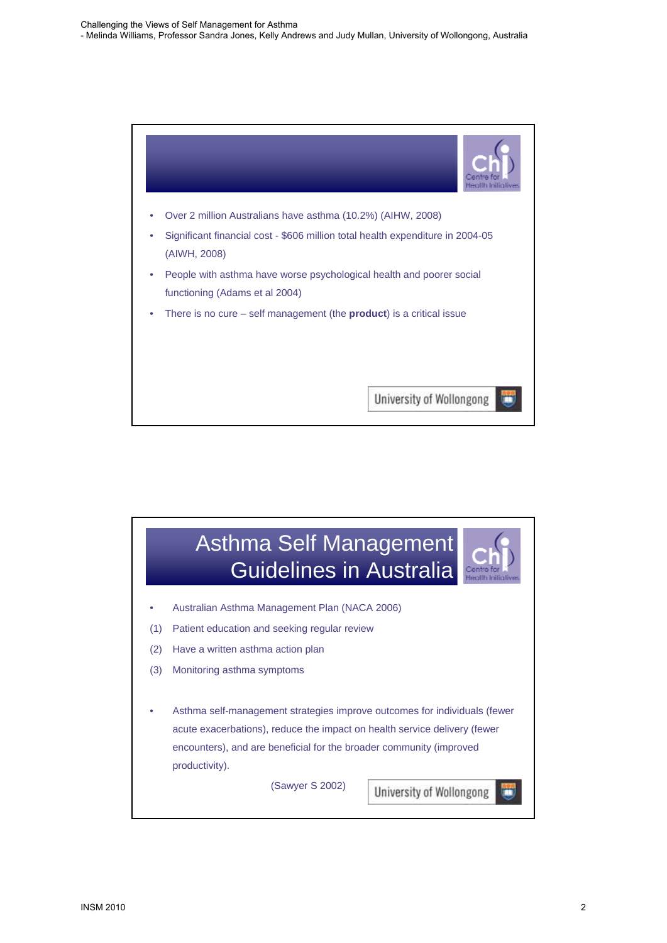

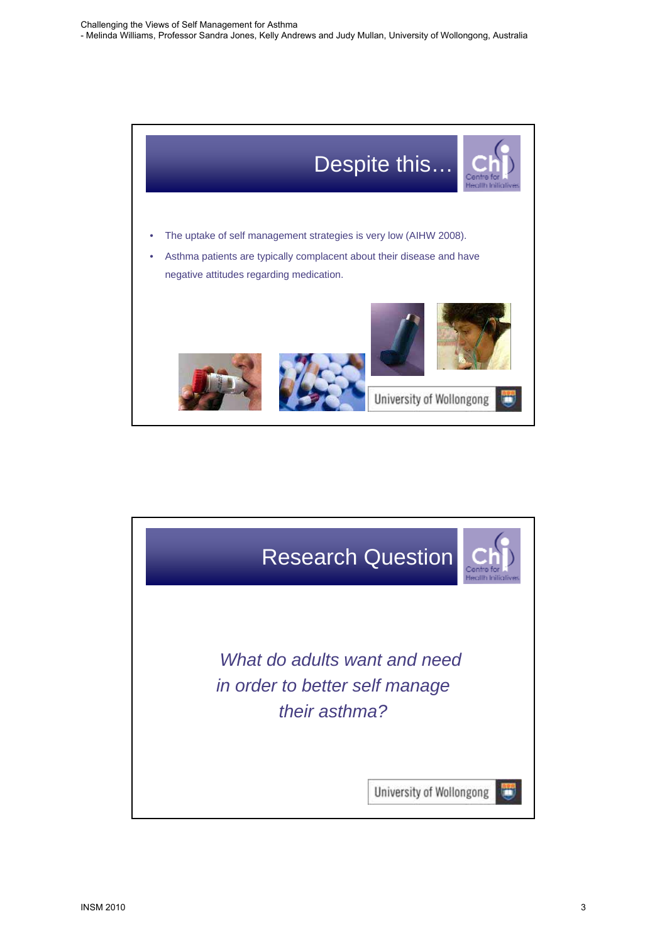

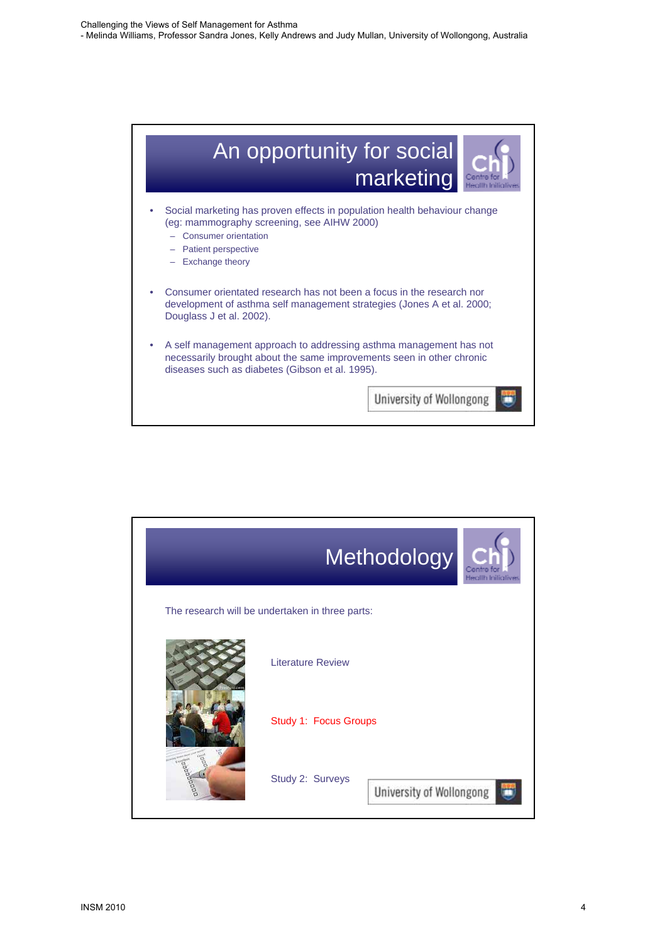

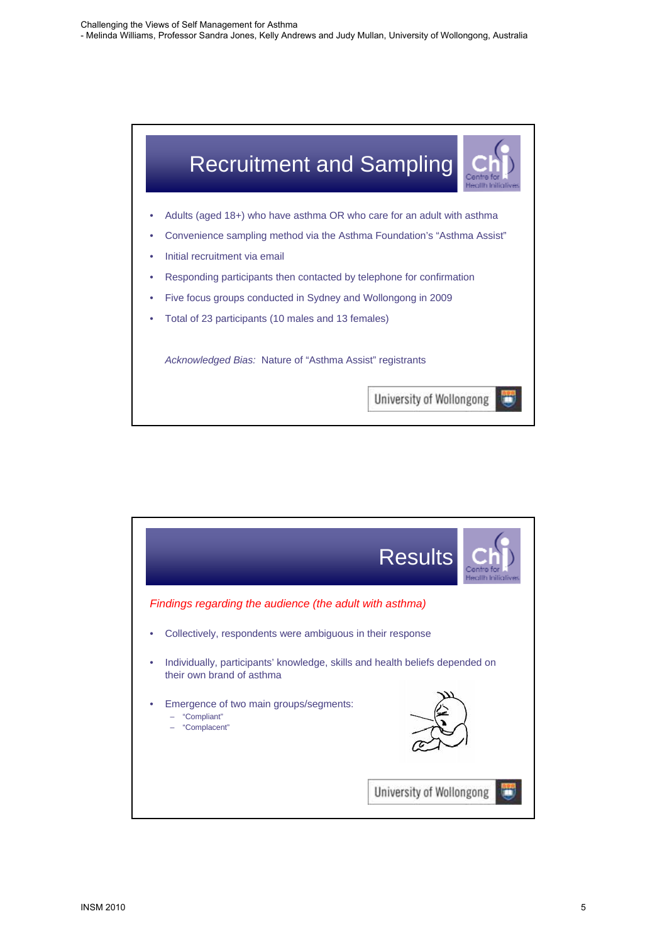

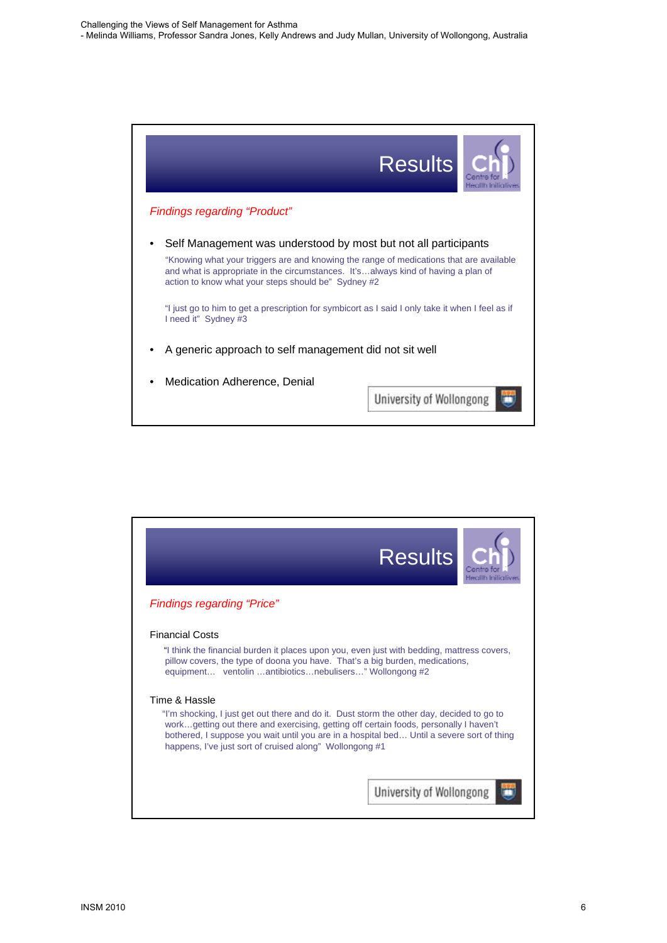

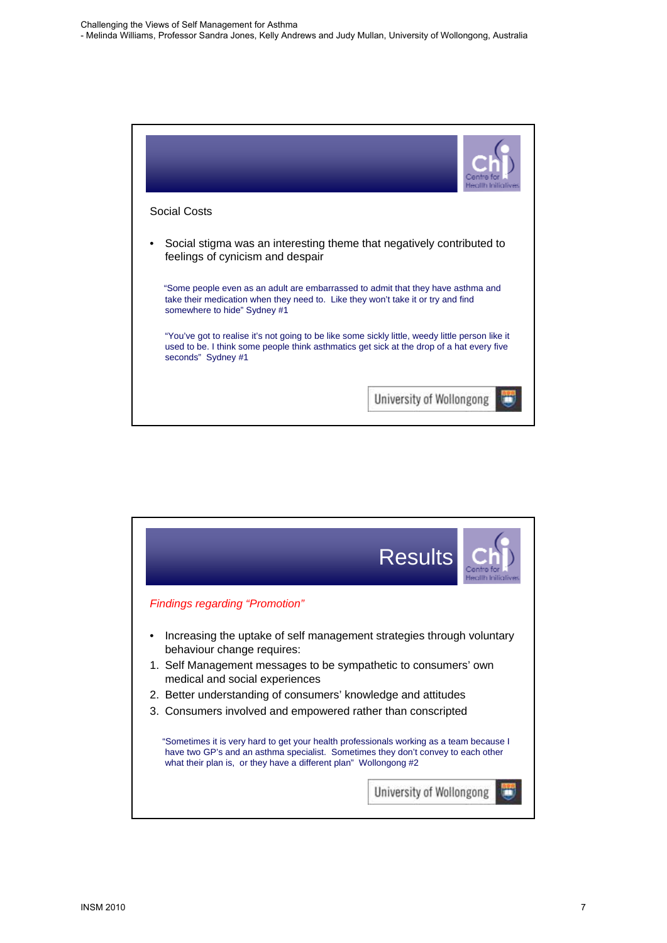

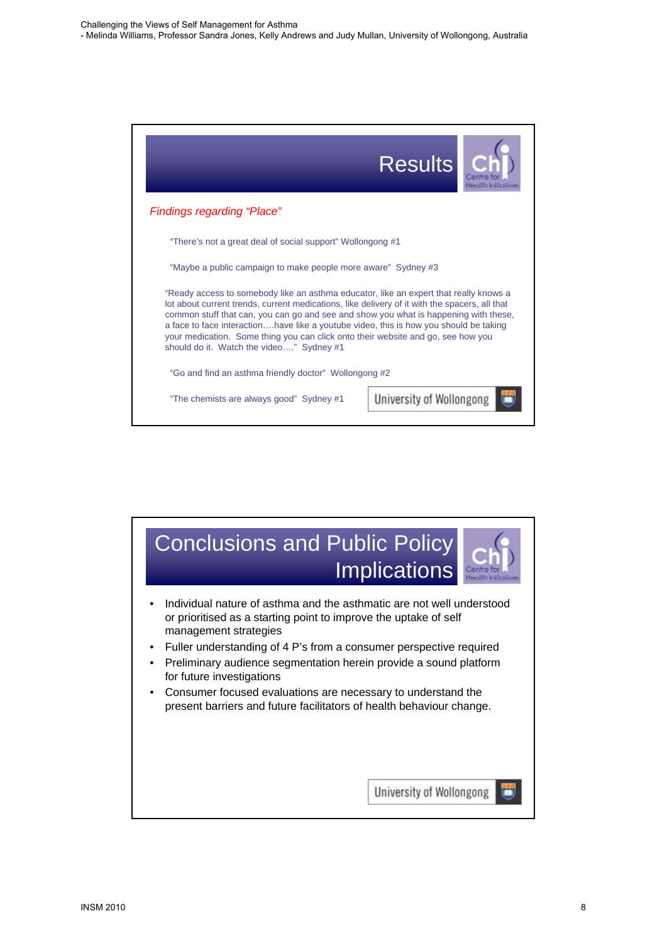